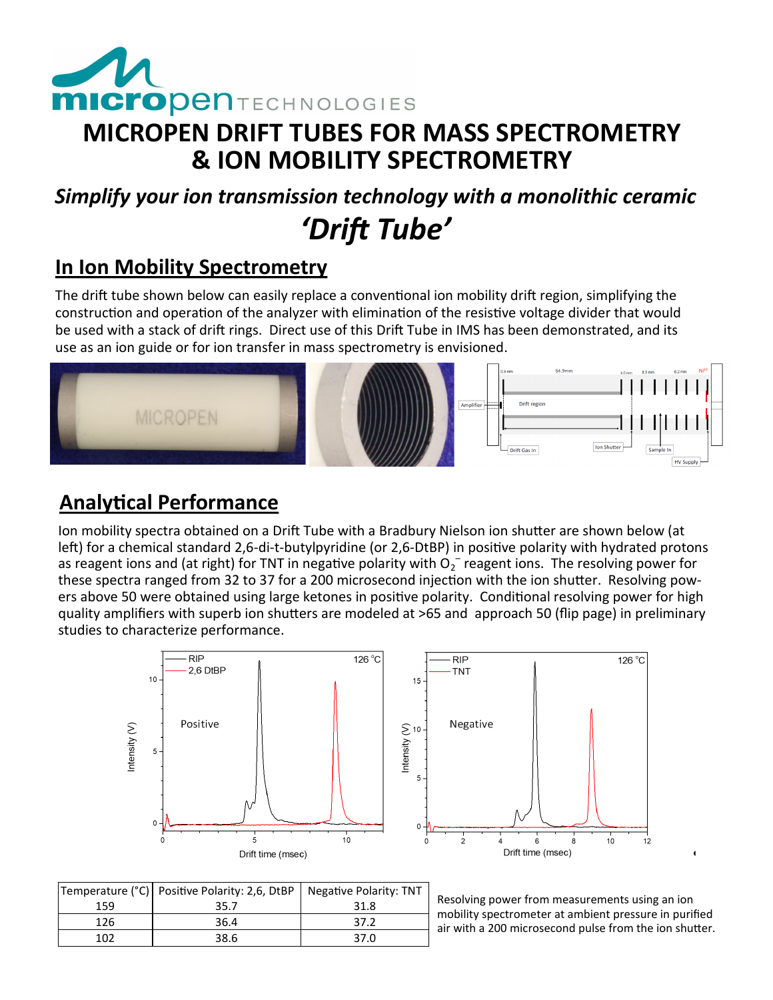

## **MICROPEN DRIFT TUBES FOR MASS SPECTROMETRY & ION MOBILITY SPECTROMETRY**

# *Simplify your ion transmission technology with a monolithic ceramic 'Drift Tube'*

### **In Ion Mobility Spectrometry**

The drift tube shown below can easily replace a conventional ion mobility drift region, simplifying the construction and operation of the analyzer with elimination of the resistive voltage divider that would be used with a stack of drift rings. Direct use of this Drift Tube in IMS has been demonstrated, and its use as an ion guide or for ion transfer in mass spectrometry is envisioned.



### **Analytical Performance**

Ion mobility spectra obtained on a Drift Tube with a Bradbury Nielson ion shutter are shown below (at left) for a chemical standard 2,6-di-t-butylpyridine (or 2,6-DtBP) in positive polarity with hydrated protons as reagent ions and (at right) for TNT in negative polarity with  $O_2^-$  reagent ions. The resolving power for these spectra ranged from 32 to 37 for a 200 microsecond injection with the ion shutter. Resolving powers above 50 were obtained using large ketones in positive polarity. Conditional resolving power for high quality amplifiers with superb ion shutters are modeled at >65 and approach 50 (flip page) in preliminary studies to characterize performance.





|     | Temperature (°C)   Positive Polarity: 2,6, DtBP   Negative Polarity: TNT |      |
|-----|--------------------------------------------------------------------------|------|
| 159 | 35.7                                                                     | 31.8 |
| 126 | 36.4                                                                     | 37.2 |
| 102 | 38.6                                                                     | 37.0 |

Resolving power from measurements using an ion mobility spectrometer at ambient pressure in purified air with a 200 microsecond pulse from the ion shutter.